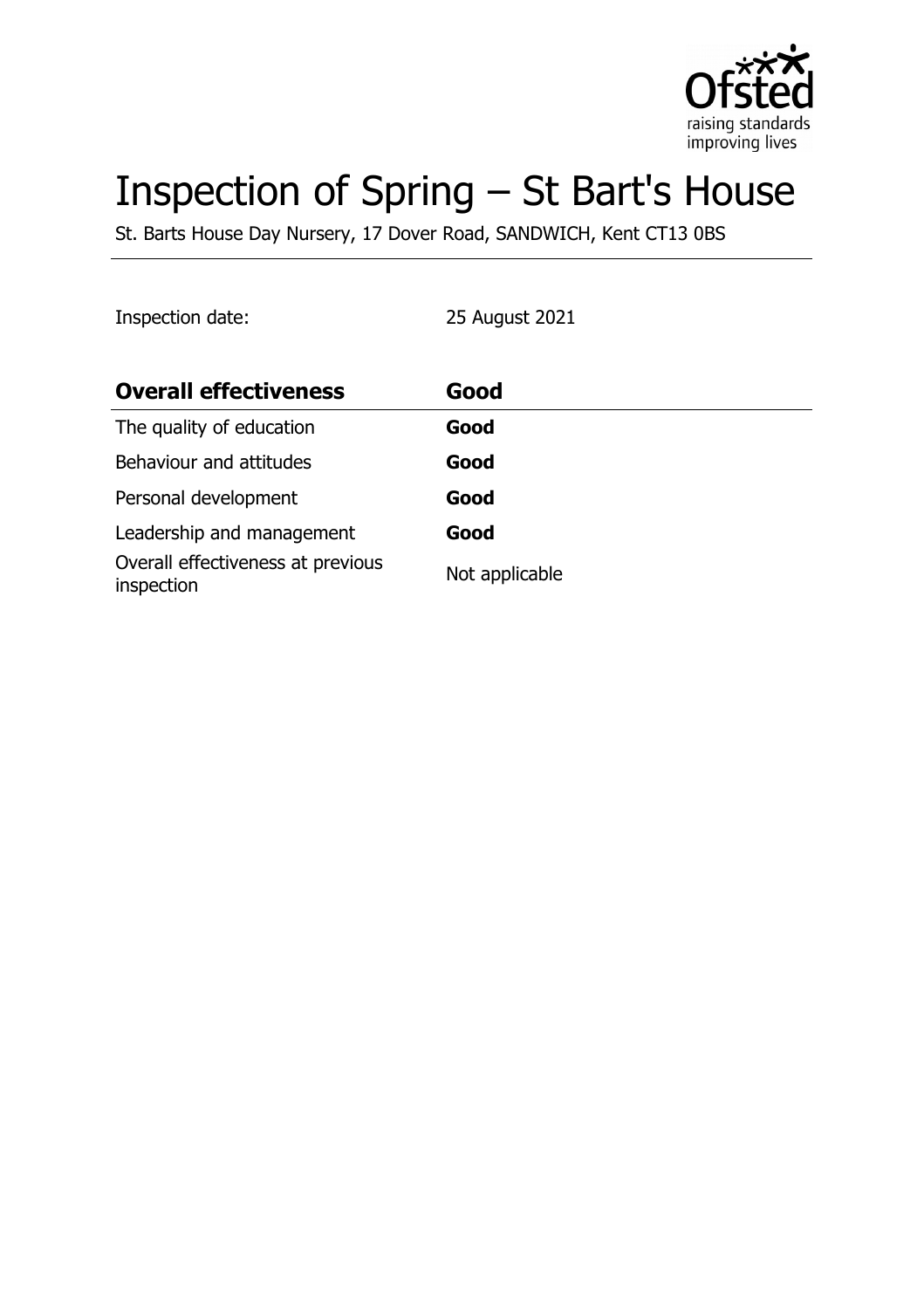

# Inspection of Spring – St Bart's House

St. Barts House Day Nursery, 17 Dover Road, SANDWICH, Kent CT13 0BS

Inspection date: 25 August 2021

| <b>Overall effectiveness</b>                    | Good           |
|-------------------------------------------------|----------------|
| The quality of education                        | Good           |
| Behaviour and attitudes                         | Good           |
| Personal development                            | Good           |
| Leadership and management                       | Good           |
| Overall effectiveness at previous<br>inspection | Not applicable |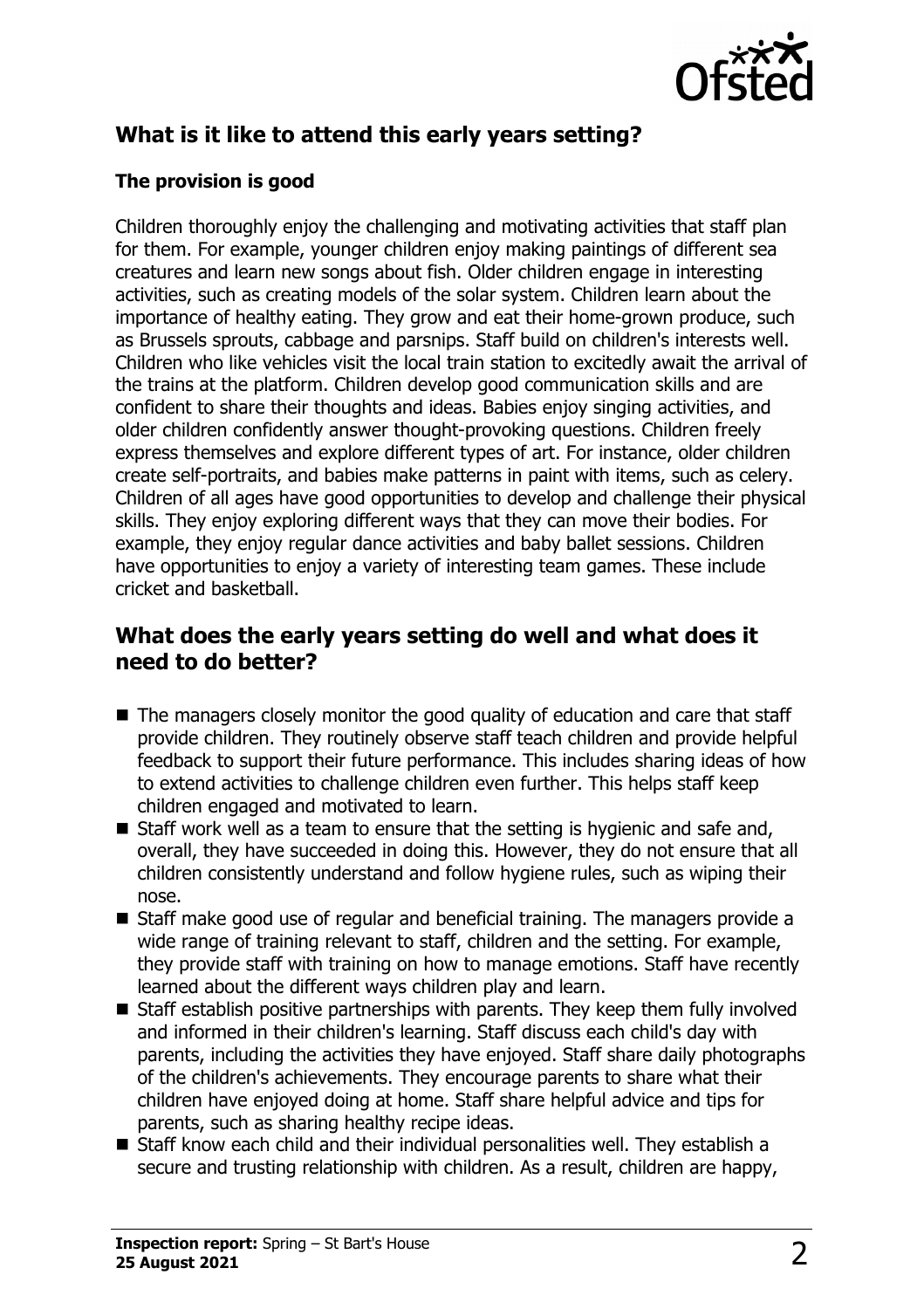

# **What is it like to attend this early years setting?**

#### **The provision is good**

Children thoroughly enjoy the challenging and motivating activities that staff plan for them. For example, younger children enjoy making paintings of different sea creatures and learn new songs about fish. Older children engage in interesting activities, such as creating models of the solar system. Children learn about the importance of healthy eating. They grow and eat their home-grown produce, such as Brussels sprouts, cabbage and parsnips. Staff build on children's interests well. Children who like vehicles visit the local train station to excitedly await the arrival of the trains at the platform. Children develop good communication skills and are confident to share their thoughts and ideas. Babies enjoy singing activities, and older children confidently answer thought-provoking questions. Children freely express themselves and explore different types of art. For instance, older children create self-portraits, and babies make patterns in paint with items, such as celery. Children of all ages have good opportunities to develop and challenge their physical skills. They enjoy exploring different ways that they can move their bodies. For example, they enjoy regular dance activities and baby ballet sessions. Children have opportunities to enjoy a variety of interesting team games. These include cricket and basketball.

## **What does the early years setting do well and what does it need to do better?**

- $\blacksquare$  The managers closely monitor the good quality of education and care that staff provide children. They routinely observe staff teach children and provide helpful feedback to support their future performance. This includes sharing ideas of how to extend activities to challenge children even further. This helps staff keep children engaged and motivated to learn.
- $\blacksquare$  Staff work well as a team to ensure that the setting is hygienic and safe and, overall, they have succeeded in doing this. However, they do not ensure that all children consistently understand and follow hygiene rules, such as wiping their nose.
- $\blacksquare$  Staff make good use of regular and beneficial training. The managers provide a wide range of training relevant to staff, children and the setting. For example, they provide staff with training on how to manage emotions. Staff have recently learned about the different ways children play and learn.
- $\blacksquare$  Staff establish positive partnerships with parents. They keep them fully involved and informed in their children's learning. Staff discuss each child's day with parents, including the activities they have enjoyed. Staff share daily photographs of the children's achievements. They encourage parents to share what their children have enjoyed doing at home. Staff share helpful advice and tips for parents, such as sharing healthy recipe ideas.
- $\blacksquare$  Staff know each child and their individual personalities well. They establish a secure and trusting relationship with children. As a result, children are happy,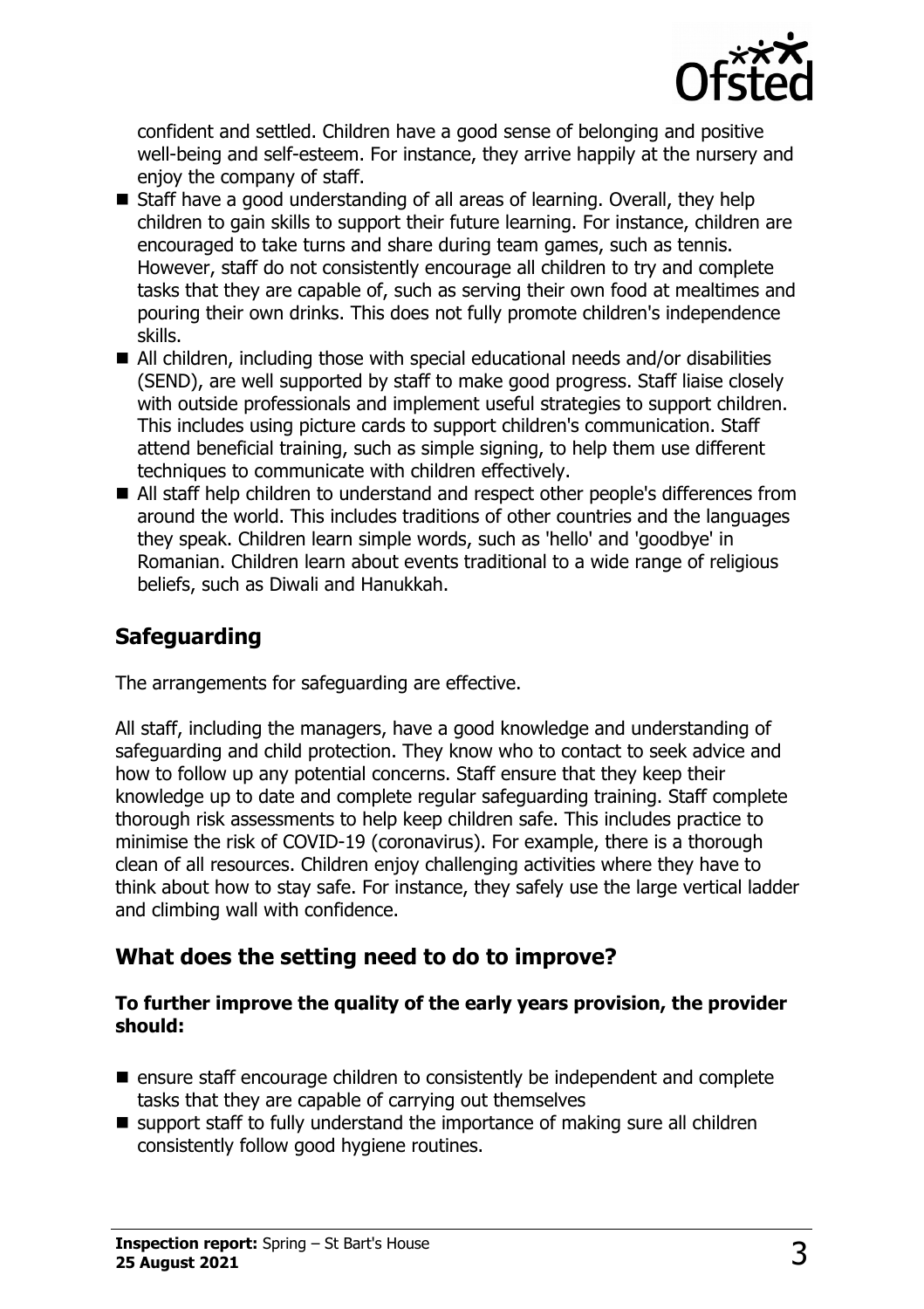

confident and settled. Children have a good sense of belonging and positive well-being and self-esteem. For instance, they arrive happily at the nursery and enjoy the company of staff.

- $\blacksquare$  Staff have a good understanding of all areas of learning. Overall, they help children to gain skills to support their future learning. For instance, children are encouraged to take turns and share during team games, such as tennis. However, staff do not consistently encourage all children to try and complete tasks that they are capable of, such as serving their own food at mealtimes and pouring their own drinks. This does not fully promote children's independence skills.
- $\blacksquare$  All children, including those with special educational needs and/or disabilities (SEND), are well supported by staff to make good progress. Staff liaise closely with outside professionals and implement useful strategies to support children. This includes using picture cards to support children's communication. Staff attend beneficial training, such as simple signing, to help them use different techniques to communicate with children effectively.
- All staff help children to understand and respect other people's differences from around the world. This includes traditions of other countries and the languages they speak. Children learn simple words, such as 'hello' and 'goodbye' in Romanian. Children learn about events traditional to a wide range of religious beliefs, such as Diwali and Hanukkah.

# **Safeguarding**

The arrangements for safeguarding are effective.

All staff, including the managers, have a good knowledge and understanding of safeguarding and child protection. They know who to contact to seek advice and how to follow up any potential concerns. Staff ensure that they keep their knowledge up to date and complete regular safeguarding training. Staff complete thorough risk assessments to help keep children safe. This includes practice to minimise the risk of COVID-19 (coronavirus). For example, there is a thorough clean of all resources. Children enjoy challenging activities where they have to think about how to stay safe. For instance, they safely use the large vertical ladder and climbing wall with confidence.

### **What does the setting need to do to improve?**

#### **To further improve the quality of the early years provision, the provider should:**

- $\blacksquare$  ensure staff encourage children to consistently be independent and complete tasks that they are capable of carrying out themselves
- $\blacksquare$  support staff to fully understand the importance of making sure all children consistently follow good hygiene routines.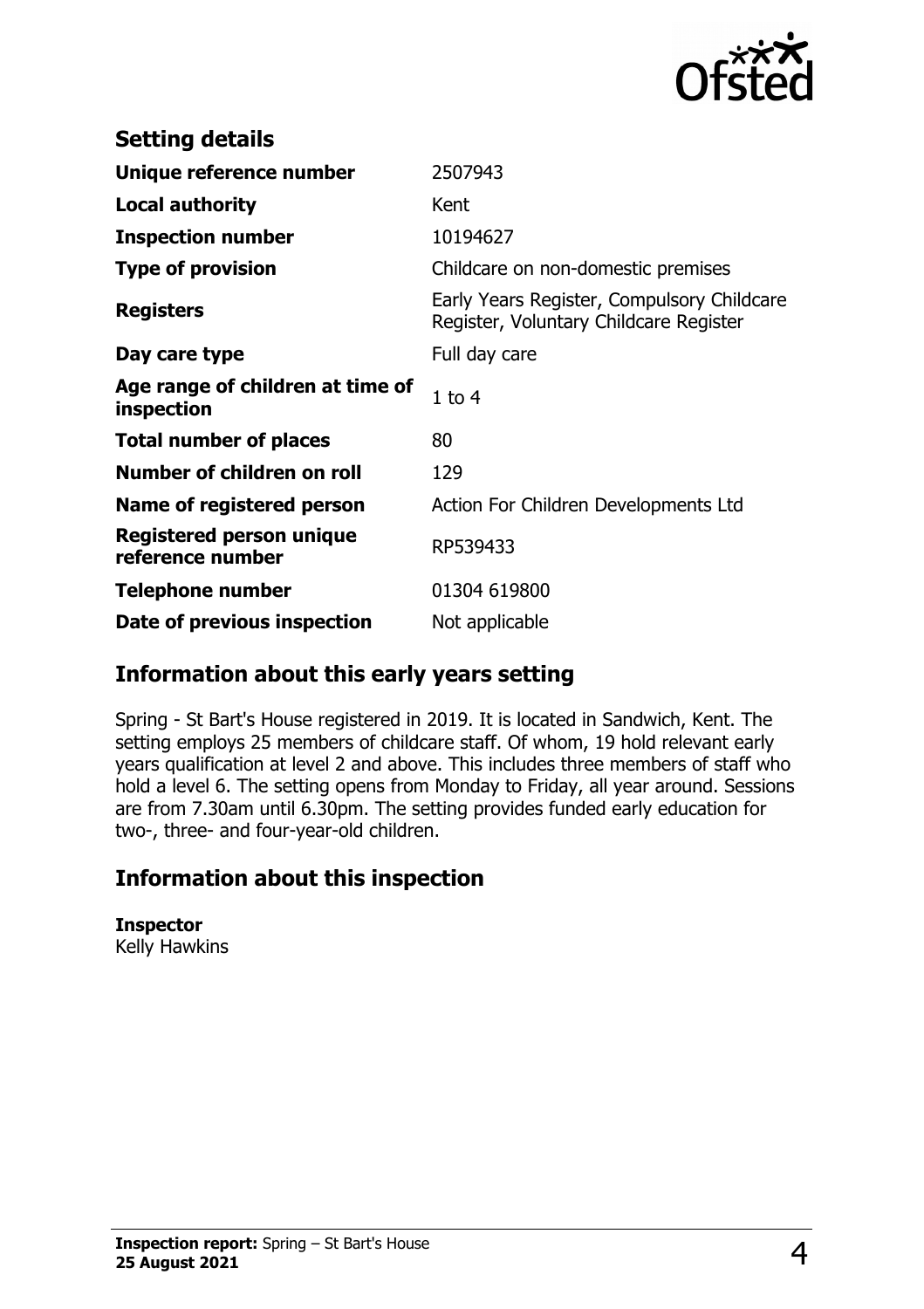

| <b>Setting details</b>                         |                                                                                      |
|------------------------------------------------|--------------------------------------------------------------------------------------|
| Unique reference number                        | 2507943                                                                              |
| <b>Local authority</b>                         | Kent                                                                                 |
| <b>Inspection number</b>                       | 10194627                                                                             |
| <b>Type of provision</b>                       | Childcare on non-domestic premises                                                   |
| <b>Registers</b>                               | Early Years Register, Compulsory Childcare<br>Register, Voluntary Childcare Register |
| Day care type                                  | Full day care                                                                        |
| Age range of children at time of<br>inspection | $1$ to $4$                                                                           |
| <b>Total number of places</b>                  | 80                                                                                   |
| Number of children on roll                     | 129                                                                                  |
| Name of registered person                      | Action For Children Developments Ltd                                                 |
| Registered person unique<br>reference number   | RP539433                                                                             |
| <b>Telephone number</b>                        | 01304 619800                                                                         |
| Date of previous inspection                    | Not applicable                                                                       |

### **Information about this early years setting**

Spring - St Bart's House registered in 2019. It is located in Sandwich, Kent. The setting employs 25 members of childcare staff. Of whom, 19 hold relevant early years qualification at level 2 and above. This includes three members of staff who hold a level 6. The setting opens from Monday to Friday, all year around. Sessions are from 7.30am until 6.30pm. The setting provides funded early education for two-, three- and four-year-old children.

# **Information about this inspection**

**Inspector** Kelly Hawkins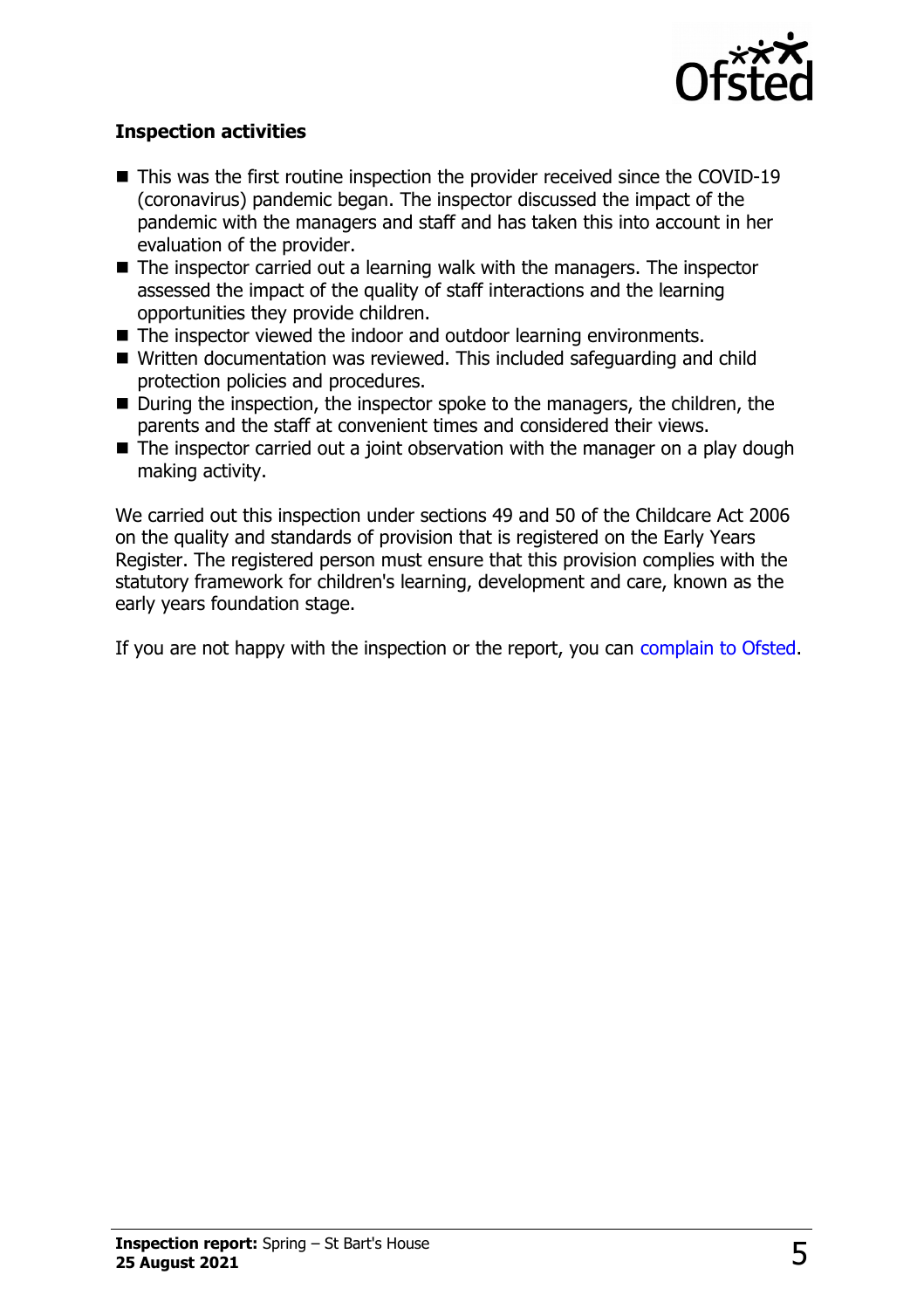

#### **Inspection activities**

- $\blacksquare$  This was the first routine inspection the provider received since the COVID-19 (coronavirus) pandemic began. The inspector discussed the impact of the pandemic with the managers and staff and has taken this into account in her evaluation of the provider.
- $\blacksquare$  The inspector carried out a learning walk with the managers. The inspector assessed the impact of the quality of staff interactions and the learning opportunities they provide children.
- The inspector viewed the indoor and outdoor learning environments.
- Written documentation was reviewed. This included safeguarding and child protection policies and procedures.
- $\blacksquare$  During the inspection, the inspector spoke to the managers, the children, the parents and the staff at convenient times and considered their views.
- $\blacksquare$  The inspector carried out a joint observation with the manager on a play dough making activity.

We carried out this inspection under sections 49 and 50 of the Childcare Act 2006 on the quality and standards of provision that is registered on the Early Years Register. The registered person must ensure that this provision complies with the statutory framework for children's learning, development and care, known as the early years foundation stage.

If you are not happy with the inspection or the report, you can [complain to Ofsted.](http://www.gov.uk/complain-ofsted-report)